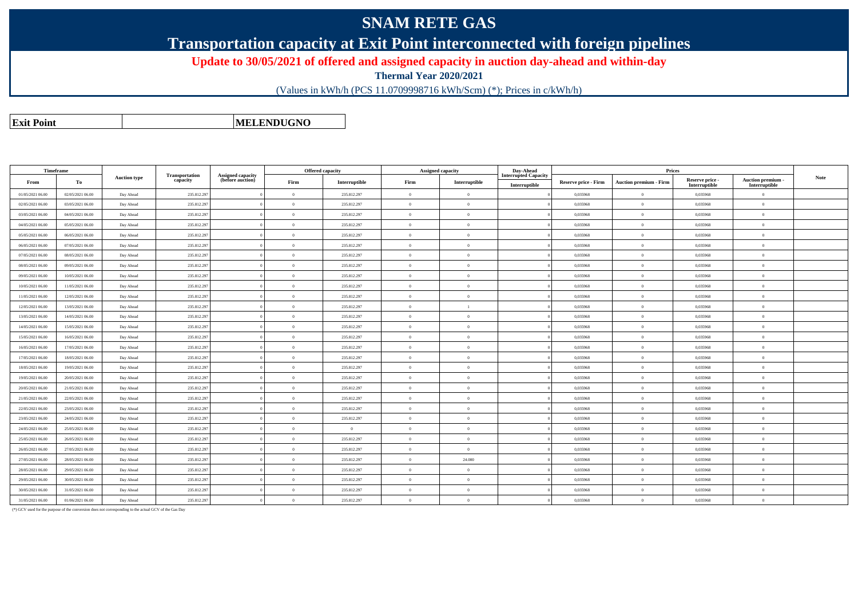## **SNAM RETE GAS**

**Transportation capacity at Exit Point interconnected with foreign pipelines**

**Update to 30/05/2021 of offered and assigned capacity in auction day-ahead and within-day**

**Thermal Year 2020/2021**

(Values in kWh/h (PCS 11.0709998716 kWh/Scm) (\*); Prices in c/kWh/h)

**Exit PointMELENDUGNO**

| Timeframe        |                  |                     |                                   |                                       | <b>Offered capacity</b> |                |                | <b>Assigned capacity</b> | Day-Ahead                                    |                             |                               |                                  |                                    |             |
|------------------|------------------|---------------------|-----------------------------------|---------------------------------------|-------------------------|----------------|----------------|--------------------------|----------------------------------------------|-----------------------------|-------------------------------|----------------------------------|------------------------------------|-------------|
| From             | To               | <b>Auction type</b> | <b>Transportation</b><br>capacity | Assigned capacity<br>(before auction) | Firm                    | Interruptible  | Firm           | Interruptible            | <b>Interrupted Capacity</b><br>Interruptible | <b>Reserve price - Firm</b> | <b>Auction premium - Firm</b> | Reserve price -<br>Interruptible | Auction premium -<br>Interruptible | <b>Note</b> |
| 01/05/2021 06:00 | 02/05/2021 06:00 | Day Ahead           | 235.812.297                       |                                       | $\Omega$                | 235.812.297    | $\Omega$       | $\Omega$                 |                                              | 0.035968                    | $\Omega$                      | 0,035968                         | $\Omega$                           |             |
| 02/05/2021 06:00 | 03/05/2021 06:00 | Day Ahead           | 235.812.29                        |                                       | $\mathbf{0}$            | 235.812.297    | $\Omega$       | $\overline{0}$           |                                              | 0.035968                    | $\overline{0}$                | 0.035968                         | $\mathbf{0}$                       |             |
| 03/05/2021 06:00 | 04/05/2021 06:00 | Day Ahead           | 235.812.297                       |                                       | $\Omega$                | 235.812.297    | $\Omega$       | $\theta$                 |                                              | 0,035968                    | $\bf{0}$                      | 0,035968                         | $\mathbf{0}$                       |             |
| 04/05/2021 06:00 | 05/05/2021 06:00 | Day Ahead           | 235.812.29                        |                                       | $\overline{0}$          | 235.812.297    | $\Omega$       | $\Omega$                 |                                              | 0,035968                    | $\bf{0}$                      | 0,035968                         | $\mathbf{0}$                       |             |
| 05/05/2021 06:00 | 06/05/2021 06:00 | Day Ahead           | 235.812.29                        |                                       | $\Omega$                | 235.812.297    | $\Omega$       | $\Omega$                 |                                              | 0,035968                    | $\Omega$                      | 0,035968                         | $\Omega$                           |             |
| 06/05/2021 06:00 | 07/05/2021 06:00 | Day Ahead           | 235.812.29                        |                                       | $\Omega$                | 235.812.297    | $\Omega$       | $\overline{0}$           |                                              | 0.035968                    | $\Omega$                      | 0.035968                         | $\mathbf{0}$                       |             |
| 07/05/2021 06:00 | 08/05/2021 06:00 | Day Ahead           | 235.812.29                        |                                       | $\mathbf{0}$            | 235.812.297    | $\overline{0}$ | $\overline{0}$           |                                              | 0,035968                    | $\overline{0}$                | 0,035968                         | $\overline{0}$                     |             |
| 08/05/2021 06:00 | 09/05/2021 06:00 | Day Ahead           | 235.812.297                       |                                       | $\mathbf{0}$            | 235.812.297    | $\overline{0}$ | $\overline{0}$           |                                              | 0,035968                    | $\bf{0}$                      | 0.035968                         | $\mathbf{0}$                       |             |
| 09/05/2021 06:00 | 10/05/2021 06:00 | Day Ahead           | 235.812.297                       |                                       | $\Omega$                | 235.812.297    | $\Omega$       | $\theta$                 |                                              | 0.035968                    | $\theta$                      | 0.035968                         | $\Omega$                           |             |
| 10/05/2021 06:00 | 11/05/2021 06:00 | Day Ahead           | 235.812.29                        |                                       | $\Omega$                | 235.812.297    | $\Omega$       | $\Omega$                 |                                              | 0.035968                    | $\Omega$                      | 0.035968                         | $\theta$                           |             |
| 11/05/2021 06:00 | 12/05/2021 06:00 | Day Ahead           | 235.812.29                        |                                       | $\Omega$                | 235.812.297    | $\Omega$       | $\Omega$                 |                                              | 0.035968                    | $\Omega$                      | 0,035968                         | $\Omega$                           |             |
| 12/05/2021 06:00 | 13/05/2021 06:00 | Day Ahead           | 235.812.29                        |                                       | $\Omega$                | 235.812.297    | $\Omega$       | $\overline{1}$           |                                              | 0.035968                    | $\Omega$                      | 0.035968                         | $\Omega$                           |             |
| 13/05/2021 06:00 | 14/05/2021 06:00 | Day Ahead           | 235.812.297                       |                                       | $\Omega$                | 235.812.297    | $\Omega$       | $\theta$                 |                                              | 0,035968                    | $\bf{0}$                      | 0,035968                         | $\mathbf{0}$                       |             |
| 14/05/2021 06:00 | 15/05/2021 06:00 | Day Ahead           | 235.812.297                       |                                       | $\mathbf{0}$            | 235.812.297    | $\Omega$       | $\theta$                 |                                              | 0.035968                    | $\bf{0}$                      | 0.035968                         | $\mathbf{0}$                       |             |
| 15/05/2021 06:00 | 16/05/2021 06:00 | Day Ahead           | 235.812.29                        |                                       | $\Omega$                | 235.812.297    | $\Omega$       | $\Omega$                 |                                              | 0,035968                    | $\theta$                      | 0,035968                         | $\Omega$                           |             |
| 16/05/2021 06:00 | 17/05/2021 06:00 | Day Ahead           | 235.812.29                        |                                       | $\Omega$                | 235.812.297    | $\Omega$       | $\overline{0}$           |                                              | 0.035968                    | $\bf{0}$                      | 0.035968                         | $\mathbf{0}$                       |             |
| 17/05/2021 06:00 | 18/05/2021 06:00 | Day Ahead           | 235.812.29                        |                                       | $\mathbf{0}$            | 235.812.297    | $\Omega$       | $\overline{0}$           |                                              | 0,035968                    | $\overline{0}$                | 0,035968                         | $\mathbf{0}$                       |             |
| 18/05/2021 06:00 | 19/05/2021 06:00 | Day Ahead           | 235.812.297                       |                                       | $\mathbf{0}$            | 235.812.297    | $\overline{0}$ | $\overline{0}$           |                                              | 0,035968                    | $\theta$                      | 0.035968                         | $\overline{0}$                     |             |
| 19/05/2021 06:00 | 20/05/2021 06:00 | Day Ahead           | 235.812.297                       |                                       | $\Omega$                | 235.812.297    | $\Omega$       | $\Omega$                 |                                              | 0.035968                    | $\theta$                      | 0,035968                         | $\Omega$                           |             |
| 20/05/2021 06:00 | 21/05/2021 06:00 | Day Ahead           | 235.812.29                        |                                       | $\Omega$                | 235.812.297    | $\Omega$       | $\theta$                 |                                              | 0.035968                    | $\theta$                      | 0.035968                         | $\Omega$                           |             |
| 21/05/2021 06:00 | 22/05/2021 06:00 | Day Ahead           | 235.812.29                        |                                       | $\Omega$                | 235.812.297    |                | $\Omega$                 |                                              | 0.035968                    | $\Omega$                      | 0,035968                         | $\Omega$                           |             |
| 22/05/2021 06:00 | 23/05/2021 06:00 | Day Ahead           | 235.812.29                        |                                       | $\overline{0}$          | 235.812.297    | $\overline{0}$ | $\overline{0}$           |                                              | 0.035968                    | $\overline{0}$                | 0.035968                         | $\overline{0}$                     |             |
| 23/05/2021 06:00 | 24/05/2021 06:00 | Day Ahead           | 235.812.297                       |                                       | $\theta$                | 235.812.297    | $\Omega$       | $\theta$                 |                                              | 0,035968                    | $\bf{0}$                      | 0,035968                         | $\mathbf{0}$                       |             |
| 24/05/2021 06:00 | 25/05/2021 06:00 | Day Ahead           | 235.812.297                       |                                       | $\mathbf{0}$            | $\overline{0}$ | $\Omega$       | $\theta$                 |                                              | 0.035968                    | $\bf{0}$                      | 0.035968                         | $\mathbf{0}$                       |             |
| 25/05/2021 06:00 | 26/05/2021 06:00 | Day Ahead           | 235.812.29                        |                                       | $\Omega$                | 235.812.297    | $\Omega$       | $\theta$                 |                                              | 0.035968                    | $\theta$                      | 0,035968                         | $\Omega$                           |             |
| 26/05/2021 06:00 | 27/05/2021 06:00 | Day Ahead           | 235.812.29                        |                                       | $\theta$                | 235.812.297    | $\Omega$       | $\overline{0}$           |                                              | 0.035968                    | $\bf{0}$                      | 0.035968                         | $\mathbf{0}$                       |             |
| 27/05/2021 06:00 | 28/05/2021 06:00 | Day Ahead           | 235.812.29                        |                                       | $\overline{0}$          | 235.812.297    | $\Omega$       | 24.000                   |                                              | 0,035968                    | $\overline{0}$                | 0,035968                         | $\mathbf{0}$                       |             |
| 28/05/2021 06:00 | 29/05/2021 06:00 | Day Ahead           | 235.812.297                       |                                       | $\overline{0}$          | 235.812.297    | $\Omega$       | $\Omega$                 |                                              | 0,035968                    | $\bf{0}$                      | 0,035968                         | $\overline{0}$                     |             |
| 29/05/2021 06:00 | 30/05/2021 06:00 | Day Ahead           | 235.812.29                        |                                       | $\overline{0}$          | 235.812.297    | $\Omega$       | $\Omega$                 |                                              | 0,035968                    | $\bf{0}$                      | 0,035968                         | $\mathbf{0}$                       |             |
| 30/05/2021 06:00 | 31/05/2021 06:00 | Day Ahead           | 235.812.29                        |                                       | $\theta$                | 235.812.297    | $\Omega$       | $\Omega$                 |                                              | 0.035968                    | $\theta$                      | 0.035968                         | $\mathbf{0}$                       |             |
| 31/05/2021 06:00 | 01/06/2021 06:00 | Day Ahead           | 235.812.297                       |                                       | $\Omega$                | 235.812.297    | $\Omega$       | $\Omega$                 |                                              | 0.035968                    | $\theta$                      | 0,035968                         | $\theta$                           |             |

(\*) GCV used for the purpose of the conversion does not corresponding to the actual GCV of the Gas Day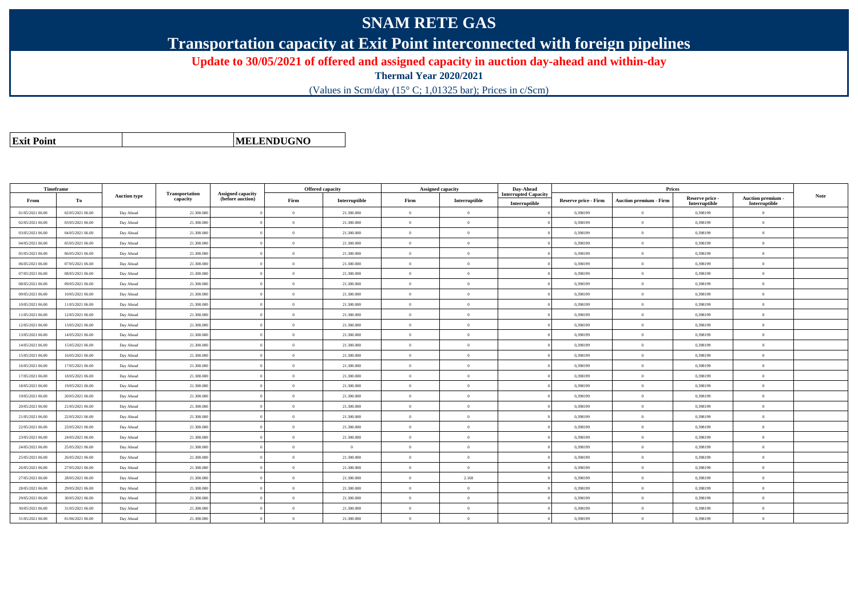## **SNAM RETE GAS**

**Transportation capacity at Exit Point interconnected with foreign pipelines**

**Update to 30/05/2021 of offered and assigned capacity in auction day-ahead and within-day**

**Thermal Year 2020/2021**

(Values in Scm/day (15° C; 1,01325 bar); Prices in c/Scm)

|  | <b>Exit Point</b> |
|--|-------------------|
|  |                   |

**MELENDUGNO**

|                  | Timeframe        |                     |            |                            | <b>Offered capacity</b>                      |            |                | Assigned capacity | Day-Ahead     |                                              | Prices                      |                               |                                  |                                         |             |
|------------------|------------------|---------------------|------------|----------------------------|----------------------------------------------|------------|----------------|-------------------|---------------|----------------------------------------------|-----------------------------|-------------------------------|----------------------------------|-----------------------------------------|-------------|
| From             | To               | <b>Auction type</b> |            | Transportation<br>capacity | <b>Assigned capacity</b><br>(before auction) | Firm       | Interruptible  | Firm              | Interruptible | <b>Interrupted Capacity</b><br>Interruptible | <b>Reserve price - Firm</b> | <b>Auction premium - Firm</b> | Reserve price -<br>Interruptible | <b>Auction premium</b><br>Interruptible | <b>Note</b> |
| 01/05/2021 06:00 | 02/05/2021 06:00 | Day Ahead           | 21.300.000 |                            | $\theta$                                     | 21.300.000 | $\theta$       | $\Omega$          |               | 0.398199                                     | $\theta$                    | 0.398199                      | $\Omega$                         |                                         |             |
| 02/05/2021 06:00 | 03/05/2021 06:00 | Day Ahead           | 21,300,000 |                            | $\Omega$                                     | 21.300,000 | $\theta$       | $\Omega$          |               | 0.398199                                     | $\theta$                    | 0.398199                      | $\mathbf{0}$                     |                                         |             |
| 03/05/2021 06:00 | 04/05/2021 06:00 | Day Ahead           | 21.300.000 |                            | $\overline{0}$                               | 21.300.000 | $\overline{0}$ | $\overline{0}$    |               | 0,398199                                     | $\overline{0}$              | 0,398199                      | $\overline{0}$                   |                                         |             |
| 04/05/2021 06:00 | 05/05/2021 06:00 | Day Ahead           | 21.300.000 |                            | $\theta$                                     | 21.300.000 | $\Omega$       | $\Omega$          |               | 0,398199                                     | $\overline{0}$              | 0,398199                      | $\Omega$                         |                                         |             |
| 05/05/2021 06:00 | 06/05/2021 06:00 | Day Ahead           | 21.300.000 |                            | $\Omega$                                     | 21.300.000 | $\theta$       | $\overline{0}$    |               | 0,398199                                     | $\overline{0}$              | 0,398199                      | $\Omega$                         |                                         |             |
| 06/05/2021 06:00 | 07/05/2021 06:00 | Day Ahead           | 21.300.000 |                            | $\Omega$                                     | 21.300.000 | $\Omega$       | $\Omega$          |               | 0.398199                                     | $\Omega$                    | 0,398199                      | $\Omega$                         |                                         |             |
| 07/05/2021 06:00 | 08/05/2021 06:00 | Day Ahead           | 21.300.000 |                            | $\Omega$                                     | 21.300.000 | $\Omega$       | $\overline{0}$    |               | 0,398199                                     | $\overline{0}$              | 0,398199                      | $\overline{0}$                   |                                         |             |
| 08/05/2021 06:00 | 09/05/2021 06:00 | Day Ahead           | 21.300.000 |                            | $\Omega$                                     | 21.300.000 | $\Omega$       | $\overline{0}$    |               | 0,398199                                     | $\overline{0}$              | 0,398199                      | $\Omega$                         |                                         |             |
| 09/05/2021 06:00 | 10/05/2021 06:00 | Day Ahead           | 21,300,000 |                            | $\Omega$                                     | 21.300.000 | $\Omega$       | $\overline{0}$    |               | 0.398199                                     | $\overline{0}$              | 0.398199                      | $\theta$                         |                                         |             |
| 10/05/2021 06:00 | 11/05/2021 06:00 | Day Ahead           | 21,300,00  |                            | $\overline{0}$                               | 21.300.000 | $\overline{0}$ | $\overline{0}$    |               | 0.398199                                     | $\overline{0}$              | 0.398199                      | $\overline{0}$                   |                                         |             |
| 11/05/2021 06:00 | 12/05/2021 06:00 | Day Ahead           | 21.300.000 |                            | $\Omega$                                     | 21.300.000 | $\Omega$       | $\Omega$          |               | 0,398199                                     | $\Omega$                    | 0,398199                      | $\Omega$                         |                                         |             |
| 12/05/2021 06:00 | 13/05/2021 06:00 | Day Ahead           | 21.300.00  |                            | $\Omega$                                     | 21.300.000 | $\Omega$       | $\overline{0}$    |               | 0,398199                                     | $\overline{0}$              | 0,398199                      | $\overline{0}$                   |                                         |             |
| 13/05/2021 06:00 | 14/05/2021 06:00 | Day Ahead           | 21.300.000 |                            | $\Omega$                                     | 21.300.000 | $\Omega$       | $\Omega$          |               | 0,398199                                     | $\overline{0}$              | 0,398199                      | $\overline{0}$                   |                                         |             |
| 14/05/2021 06:00 | 15/05/2021 06:00 | Day Ahead           | 21.300.000 |                            | $\Omega$                                     | 21,300,000 | $\Omega$       | $\overline{0}$    |               | 0.398199                                     | $\overline{0}$              | 0,398199                      | $\theta$                         |                                         |             |
| 15/05/2021 06:00 | 16/05/2021 06:00 | Day Ahead           | 21.300.000 |                            | $\Omega$                                     | 21.300.000 | $\Omega$       | $\Omega$          |               | 0,398199                                     | $\Omega$                    | 0,398199                      | $\Omega$                         |                                         |             |
| 16/05/2021 06:00 | 17/05/2021 06:00 | Day Ahead           | 21.300.000 |                            | $\Omega$                                     | 21.300.000 | $\Omega$       | $\Omega$          |               | 0.398199                                     | $\theta$                    | 0.398199                      | $\Omega$                         |                                         |             |
| 17/05/2021 06:00 | 18/05/2021 06:00 | Day Ahead           | 21.300,000 |                            | $\theta$                                     | 21.300.000 | $\overline{0}$ | $\overline{0}$    |               | 0.398199                                     | $\overline{0}$              | 0.398199                      | $\mathbf{0}$                     |                                         |             |
| 18/05/2021 06:00 | 19/05/2021 06:00 | Day Ahead           | 21,300,000 |                            | $\theta$                                     | 21.300.000 | $\overline{0}$ | $\overline{0}$    |               | 0.398199                                     | $\overline{0}$              | 0.398199                      | $\theta$                         |                                         |             |
| 19/05/2021 06:00 | 20/05/2021 06:00 | Day Ahead           | 21.300.000 |                            | $\mathbf{0}$                                 | 21.300.000 | $\overline{0}$ | $\overline{0}$    |               | 0,398199                                     | $\mathbf{0}$                | 0,398199                      | $\theta$                         |                                         |             |
| 20/05/2021 06:00 | 21/05/2021 06:00 | Day Ahead           | 21.300.000 |                            | $\Omega$                                     | 21.300.000 | $\Omega$       | $\Omega$          |               | 0,398199                                     | $\theta$                    | 0,398199                      | $\theta$                         |                                         |             |
| 21/05/2021 06:00 | 22/05/2021 06:00 | Day Ahead           | 21.300.000 |                            | $\theta$                                     | 21.300,000 | $\theta$       | $\overline{0}$    |               | 0.398199                                     | $\overline{0}$              | 0,398199                      | $\mathbf{0}$                     |                                         |             |
| 22/05/2021 06:00 | 23/05/2021 06:00 | Day Ahead           | 21.300.000 |                            | $\Omega$                                     | 21.300.000 | $\Omega$       | $\theta$          |               | 0,398199                                     | $\overline{0}$              | 0,398199                      | $\Omega$                         |                                         |             |
| 23/05/2021 06:00 | 24/05/2021 06:00 | Day Ahead           | 21.300.000 |                            | $\Omega$                                     | 21.300.000 | $\Omega$       | $\theta$          |               | 0,398199                                     | $\overline{0}$              | 0,398199                      | $\Omega$                         |                                         |             |
| 24/05/2021 06:00 | 25/05/2021 06:00 | Day Ahead           | 21.300.00  |                            | $\Omega$                                     | $\theta$   | $\Omega$       | $\theta$          |               | 0.398199                                     | $\overline{0}$              | 0.398199                      | $\Omega$                         |                                         |             |
| 25/05/2021 06:00 | 26/05/2021 06:00 | Day Ahead           | 21.300.000 |                            | $\Omega$                                     | 21.300.000 | $\Omega$       | $\theta$          |               | 0.398199                                     | $\theta$                    | 0,398199                      | $\mathbf{0}$                     |                                         |             |
| 26/05/2021 06:00 | 27/05/2021 06:00 | Day Ahead           | 21.300.000 |                            | $\theta$                                     | 21.300.000 | $\overline{0}$ | $\overline{0}$    |               | 0,398199                                     | $\overline{0}$              | 0,398199                      | $\mathbf{0}$                     |                                         |             |
| 27/05/2021 06:00 | 28/05/2021 06:00 | Day Ahead           | 21.300.000 |                            | $\theta$                                     | 21.300.000 | $\Omega$       | 2.168             |               | 0,398199                                     | $\overline{0}$              | 0,398199                      | $\mathbf{0}$                     |                                         |             |
| 28/05/2021 06:00 | 29/05/2021 06:00 | Day Ahead           | 21.300.000 |                            | $\theta$                                     | 21.300.000 | $\Omega$       | $\theta$          |               | 0.398199                                     | $\overline{0}$              | 0.398199                      | $\Omega$                         |                                         |             |
| 29/05/2021 06:00 | 30/05/2021 06:00 | Day Ahead           | 21.300,000 |                            | $\Omega$                                     | 21.300.000 | $\Omega$       | $\Omega$          |               | 0.398199                                     | $\theta$                    | 0.398199                      | $\Omega$                         |                                         |             |
| 30/05/2021 06:00 | 31/05/2021 06:00 | Day Ahead           | 21.300.000 |                            | $\Omega$                                     | 21.300.000 | $\Omega$       | $\Omega$          |               | 0,398199                                     | $\Omega$                    | 0,398199                      | $\Omega$                         |                                         |             |
| 31/05/2021 06:00 | 01/06/2021 06:00 | Day Ahead           | 21.300.000 |                            | $\Omega$                                     | 21.300.000 | $\overline{0}$ | $\overline{0}$    |               | 0.398199                                     | $\overline{0}$              | 0,398199                      | $\mathbf{0}$                     |                                         |             |